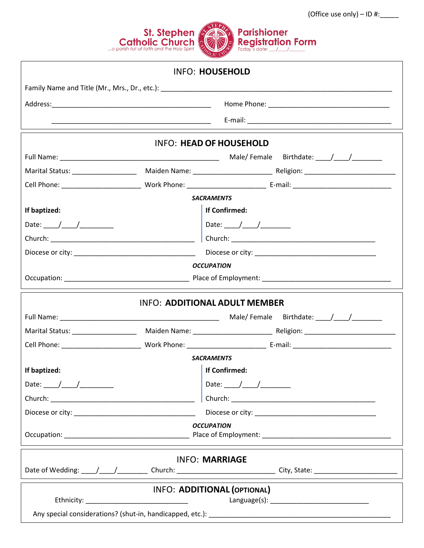

|                                                                                                                                                                                                                                |  | <b>INFO: HOUSEHOLD</b>                                                                                                                                                                                                                                                                                                                                                                                                   |  |  |
|--------------------------------------------------------------------------------------------------------------------------------------------------------------------------------------------------------------------------------|--|--------------------------------------------------------------------------------------------------------------------------------------------------------------------------------------------------------------------------------------------------------------------------------------------------------------------------------------------------------------------------------------------------------------------------|--|--|
|                                                                                                                                                                                                                                |  |                                                                                                                                                                                                                                                                                                                                                                                                                          |  |  |
|                                                                                                                                                                                                                                |  |                                                                                                                                                                                                                                                                                                                                                                                                                          |  |  |
|                                                                                                                                                                                                                                |  |                                                                                                                                                                                                                                                                                                                                                                                                                          |  |  |
|                                                                                                                                                                                                                                |  | <b>INFO: HEAD OF HOUSEHOLD</b>                                                                                                                                                                                                                                                                                                                                                                                           |  |  |
|                                                                                                                                                                                                                                |  |                                                                                                                                                                                                                                                                                                                                                                                                                          |  |  |
|                                                                                                                                                                                                                                |  |                                                                                                                                                                                                                                                                                                                                                                                                                          |  |  |
|                                                                                                                                                                                                                                |  |                                                                                                                                                                                                                                                                                                                                                                                                                          |  |  |
| <b>SACRAMENTS</b>                                                                                                                                                                                                              |  |                                                                                                                                                                                                                                                                                                                                                                                                                          |  |  |
| If baptized:                                                                                                                                                                                                                   |  | <b>If Confirmed:</b>                                                                                                                                                                                                                                                                                                                                                                                                     |  |  |
|                                                                                                                                                                                                                                |  |                                                                                                                                                                                                                                                                                                                                                                                                                          |  |  |
| Church: Experience of the contract of the contract of the contract of the contract of the contract of the contract of the contract of the contract of the contract of the contract of the contract of the contract of the cont |  |                                                                                                                                                                                                                                                                                                                                                                                                                          |  |  |
|                                                                                                                                                                                                                                |  |                                                                                                                                                                                                                                                                                                                                                                                                                          |  |  |
|                                                                                                                                                                                                                                |  | <b>OCCUPATION</b>                                                                                                                                                                                                                                                                                                                                                                                                        |  |  |
|                                                                                                                                                                                                                                |  |                                                                                                                                                                                                                                                                                                                                                                                                                          |  |  |
|                                                                                                                                                                                                                                |  | <b>INFO: ADDITIONAL ADULT MEMBER</b>                                                                                                                                                                                                                                                                                                                                                                                     |  |  |
|                                                                                                                                                                                                                                |  |                                                                                                                                                                                                                                                                                                                                                                                                                          |  |  |
|                                                                                                                                                                                                                                |  |                                                                                                                                                                                                                                                                                                                                                                                                                          |  |  |
|                                                                                                                                                                                                                                |  |                                                                                                                                                                                                                                                                                                                                                                                                                          |  |  |
| <b>SACRAMENTS</b>                                                                                                                                                                                                              |  |                                                                                                                                                                                                                                                                                                                                                                                                                          |  |  |
| If baptized:                                                                                                                                                                                                                   |  | If Confirmed:                                                                                                                                                                                                                                                                                                                                                                                                            |  |  |
|                                                                                                                                                                                                                                |  | Date: $\frac{1}{\sqrt{1-\frac{1}{2}}}\frac{1}{\sqrt{1-\frac{1}{2}}}\frac{1}{\sqrt{1-\frac{1}{2}}}\frac{1}{\sqrt{1-\frac{1}{2}}}\frac{1}{\sqrt{1-\frac{1}{2}}}\frac{1}{\sqrt{1-\frac{1}{2}}}\frac{1}{\sqrt{1-\frac{1}{2}}}\frac{1}{\sqrt{1-\frac{1}{2}}}\frac{1}{\sqrt{1-\frac{1}{2}}}\frac{1}{\sqrt{1-\frac{1}{2}}}\frac{1}{\sqrt{1-\frac{1}{2}}}\frac{1}{\sqrt{1-\frac{1}{2}}}\frac{1}{\sqrt{1-\frac{1}{2}}}\frac{1}{\$ |  |  |
|                                                                                                                                                                                                                                |  |                                                                                                                                                                                                                                                                                                                                                                                                                          |  |  |
|                                                                                                                                                                                                                                |  |                                                                                                                                                                                                                                                                                                                                                                                                                          |  |  |
|                                                                                                                                                                                                                                |  | <b>OCCUPATION</b>                                                                                                                                                                                                                                                                                                                                                                                                        |  |  |
|                                                                                                                                                                                                                                |  | <b>INFO: MARRIAGE</b>                                                                                                                                                                                                                                                                                                                                                                                                    |  |  |
|                                                                                                                                                                                                                                |  | Date of Wedding: ____/____/____________Church: ________________________________City, State: __________________                                                                                                                                                                                                                                                                                                           |  |  |
| <b>INFO: ADDITIONAL (OPTIONAL)</b><br>Ethnicity: _________________________________                                                                                                                                             |  |                                                                                                                                                                                                                                                                                                                                                                                                                          |  |  |
|                                                                                                                                                                                                                                |  |                                                                                                                                                                                                                                                                                                                                                                                                                          |  |  |